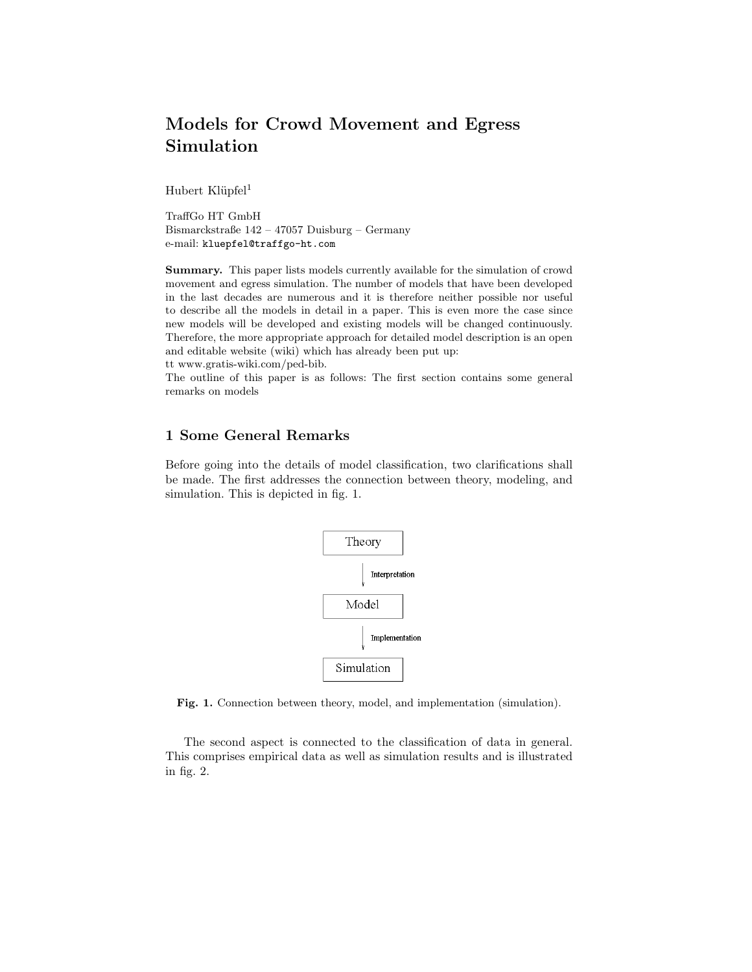# Models for Crowd Movement and Egress Simulation

Hubert Klüpfel<sup>1</sup>

TraffGo HT GmbH Bismarckstraße 142 – 47057 Duisburg – Germany e-mail: kluepfel@traffgo-ht.com

Summary. This paper lists models currently available for the simulation of crowd movement and egress simulation. The number of models that have been developed in the last decades are numerous and it is therefore neither possible nor useful to describe all the models in detail in a paper. This is even more the case since new models will be developed and existing models will be changed continuously. Therefore, the more appropriate approach for detailed model description is an open and editable website (wiki) which has already been put up:

tt www.gratis-wiki.com/ped-bib.

The outline of this paper is as follows: The first section contains some general remarks on models

# 1 Some General Remarks

Before going into the details of model classification, two clarifications shall be made. The first addresses the connection between theory, modeling, and simulation. This is depicted in fig. 1.



Fig. 1. Connection between theory, model, and implementation (simulation).

The second aspect is connected to the classification of data in general. This comprises empirical data as well as simulation results and is illustrated in fig. 2.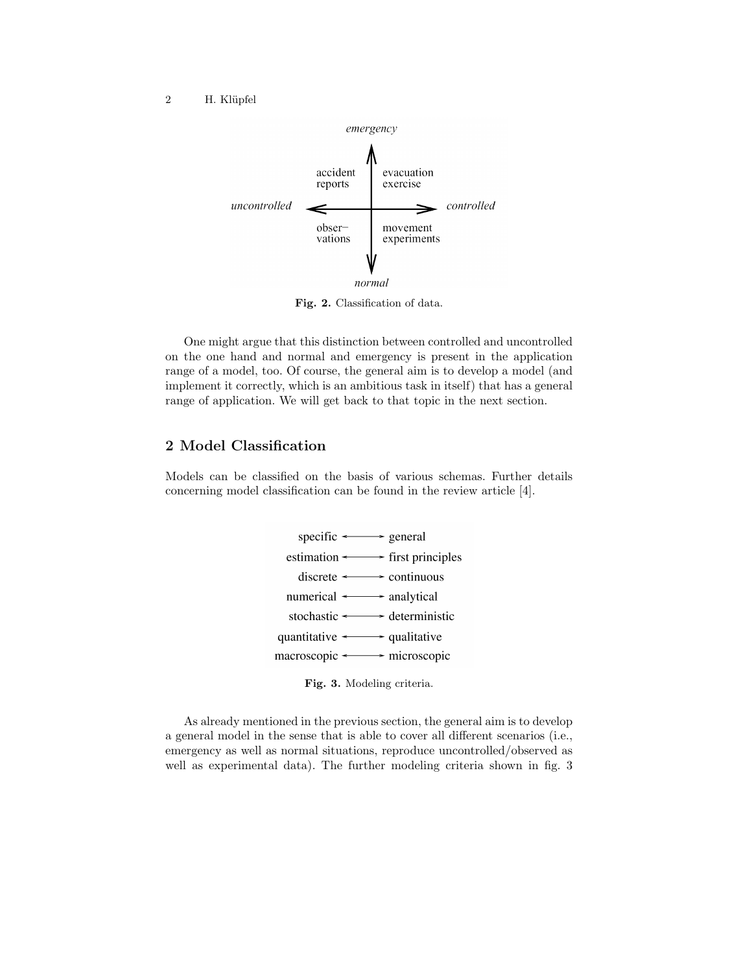#### 2 H. Klüpfel



Fig. 2. Classification of data.

One might argue that this distinction between controlled and uncontrolled on the one hand and normal and emergency is present in the application range of a model, too. Of course, the general aim is to develop a model (and implement it correctly, which is an ambitious task in itself) that has a general range of application. We will get back to that topic in the next section.

# 2 Model Classification

Models can be classified on the basis of various schemas. Further details concerning model classification can be found in the review article [4].





As already mentioned in the previous section, the general aim is to develop a general model in the sense that is able to cover all different scenarios (i.e., emergency as well as normal situations, reproduce uncontrolled/observed as well as experimental data). The further modeling criteria shown in fig. 3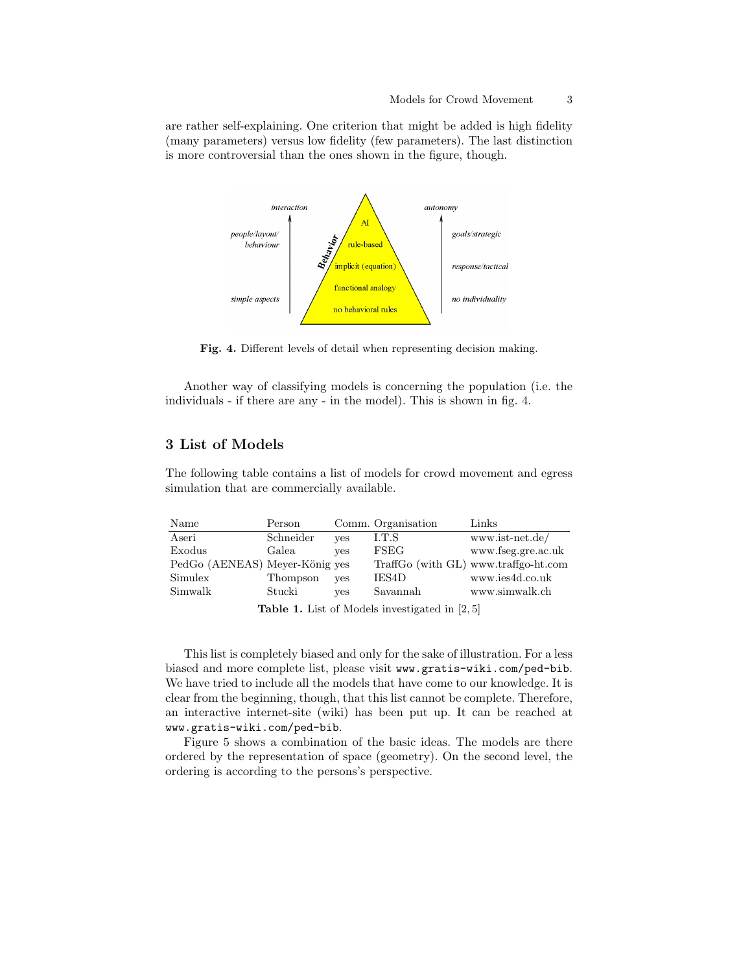are rather self-explaining. One criterion that might be added is high fidelity (many parameters) versus low fidelity (few parameters). The last distinction is more controversial than the ones shown in the figure, though.



Fig. 4. Different levels of detail when representing decision making.

Another way of classifying models is concerning the population (i.e. the individuals - if there are any - in the model). This is shown in fig. 4.

## 3 List of Models

The following table contains a list of models for crowd movement and egress simulation that are commercially available.

| Name                           | Person    |            | Comm. Organisation | Links                                |
|--------------------------------|-----------|------------|--------------------|--------------------------------------|
| Aseri                          | Schneider | <b>ves</b> | LT.S               | www.ist-net.de/                      |
| Exodus                         | Galea     | <b>ves</b> | <b>FSEG</b>        | www.fseg.gre.ac.uk                   |
| PedGo (AENEAS) Meyer-König yes |           |            |                    | TraffGo (with GL) www.traffgo-ht.com |
| Simulex                        | Thompson  | <b>ves</b> | IES4D              | www.ies4d.co.uk                      |
| Simwalk                        | Stucki    | <b>ves</b> | Savannah           | www.simwalk.ch                       |

Table 1. List of Models investigated in [2, 5]

This list is completely biased and only for the sake of illustration. For a less biased and more complete list, please visit www.gratis-wiki.com/ped-bib. We have tried to include all the models that have come to our knowledge. It is clear from the beginning, though, that this list cannot be complete. Therefore, an interactive internet-site (wiki) has been put up. It can be reached at www.gratis-wiki.com/ped-bib.

Figure 5 shows a combination of the basic ideas. The models are there ordered by the representation of space (geometry). On the second level, the ordering is according to the persons's perspective.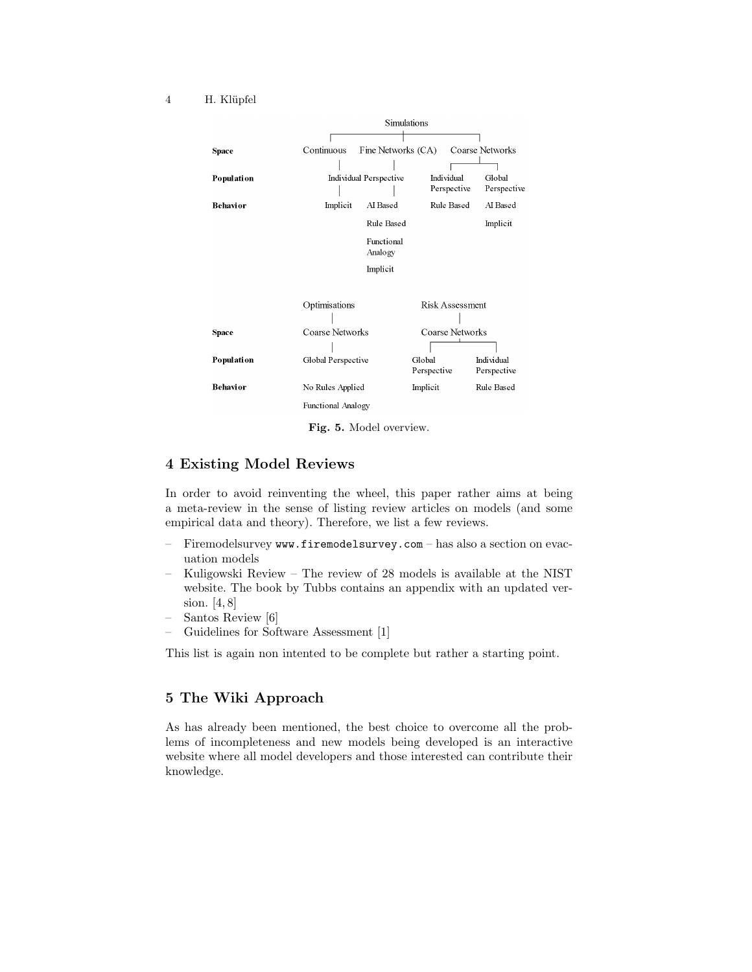#### 4 H. Klüpfel



Fig. 5. Model overview.

## 4 Existing Model Reviews

In order to avoid reinventing the wheel, this paper rather aims at being a meta-review in the sense of listing review articles on models (and some empirical data and theory). Therefore, we list a few reviews.

- Firemodelsurvey www.firemodelsurvey.com has also a section on evacuation models
- Kuligowski Review The review of 28 models is available at the NIST website. The book by Tubbs contains an appendix with an updated version. [4, 8]
- Santos Review [6]
- Guidelines for Software Assessment [1]

This list is again non intented to be complete but rather a starting point.

#### 5 The Wiki Approach

As has already been mentioned, the best choice to overcome all the problems of incompleteness and new models being developed is an interactive website where all model developers and those interested can contribute their knowledge.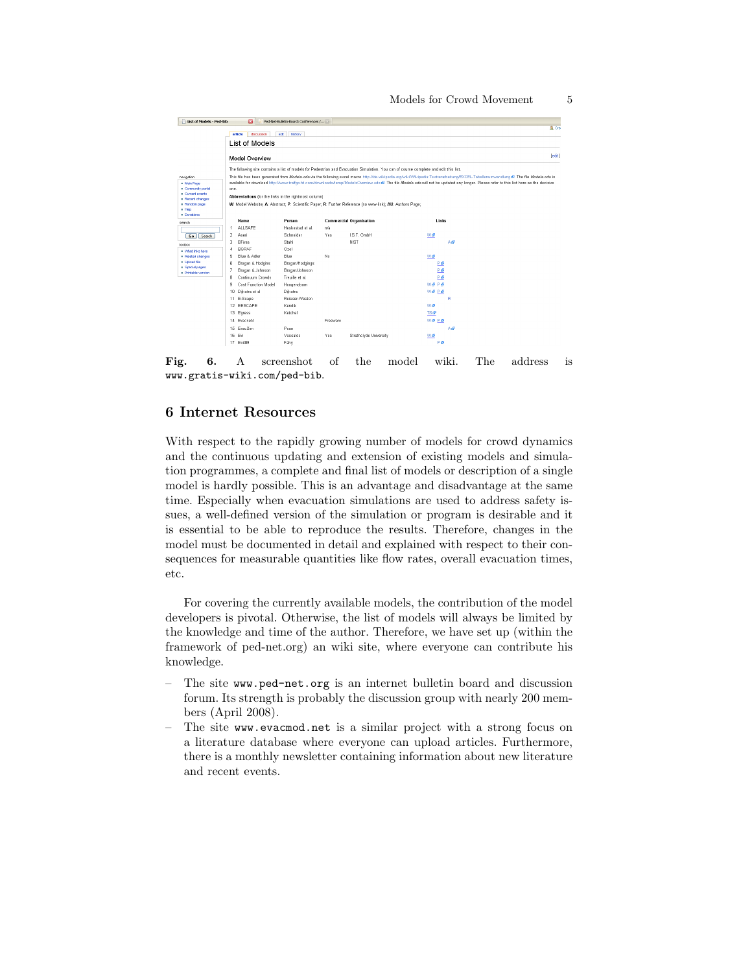| a<br>List of Models - Ped-bib<br>Ped-Net-Bulletin-Board: Conferences / |                                                                                                                                                                                          |                  |          |                                                                                                           |           |       |  |  |  |
|------------------------------------------------------------------------|------------------------------------------------------------------------------------------------------------------------------------------------------------------------------------------|------------------|----------|-----------------------------------------------------------------------------------------------------------|-----------|-------|--|--|--|
|                                                                        |                                                                                                                                                                                          |                  |          |                                                                                                           |           | 200   |  |  |  |
|                                                                        | discussion<br>article                                                                                                                                                                    | edit<br>history  |          |                                                                                                           |           |       |  |  |  |
|                                                                        | List of Models                                                                                                                                                                           |                  |          |                                                                                                           |           |       |  |  |  |
|                                                                        | (edit)<br>Model Overview                                                                                                                                                                 |                  |          |                                                                                                           |           |       |  |  |  |
|                                                                        | The following site contains a list of models for Pedestrian and Evacuation Simulation. You can of course complete and edit this list.                                                    |                  |          |                                                                                                           |           |       |  |  |  |
| nevigation                                                             | This file has been generated from Models ods via the following excel macro http://de.wikipedia.org/wiki/Wikipedia.Textverarbeitung/EXCEL-Tabellenumwandlung & The file Models.ods is     |                  |          |                                                                                                           |           |       |  |  |  |
| - Main Page                                                            | available for download http://www.traffgo-ht.com/downloads/temp/ModelsOverview.ods @. The file Models.ods will not be updated any longer. Please refer to this list here as the decisive |                  |          |                                                                                                           |           |       |  |  |  |
| - Community portal<br>Current events                                   | one.                                                                                                                                                                                     |                  |          |                                                                                                           |           |       |  |  |  |
| Recent changes                                                         | Abbreviations (for the links in the rightmost column)                                                                                                                                    |                  |          |                                                                                                           |           |       |  |  |  |
| Random page<br>$=$ Help                                                |                                                                                                                                                                                          |                  |          | W. Model Website; A: Abstract; P: Scientific Paper; R: Further Reference (no www-link); AU: Authors Page; |           |       |  |  |  |
| - Donations                                                            |                                                                                                                                                                                          |                  |          |                                                                                                           |           |       |  |  |  |
| search                                                                 | Name                                                                                                                                                                                     | Person           |          | <b>Commercial Organisation</b>                                                                            |           | Links |  |  |  |
|                                                                        | <b>ALLSAFE</b>                                                                                                                                                                           | Heskestad et al. | n/a      |                                                                                                           |           |       |  |  |  |
| Go Search                                                              | $\overline{2}$<br>Aseri                                                                                                                                                                  | Schneider        | Yes      | I.S.T. GmbH                                                                                               | W@        |       |  |  |  |
| toolbox                                                                | <b>BFires</b><br>3                                                                                                                                                                       | Stahl            |          | <b>NIST</b>                                                                                               |           | Ad    |  |  |  |
| . What links here                                                      | <b>BGRAF</b><br>A                                                                                                                                                                        | Ozel             |          |                                                                                                           |           |       |  |  |  |
| Related changes                                                        | Blue & Adler<br>5                                                                                                                                                                        | <b>Blue</b>      | No       |                                                                                                           | <b>W@</b> |       |  |  |  |
| - Upload file<br>· Special pages                                       | 6<br>Brogan & Hodgins                                                                                                                                                                    | Brogan/Hodgings  |          |                                                                                                           |           | P₿    |  |  |  |
| · Printable version                                                    | 7<br>Brogan & Johnson                                                                                                                                                                    | Brogan/Johnson   |          |                                                                                                           |           | Pie   |  |  |  |
|                                                                        | Continuum Crowds<br>8                                                                                                                                                                    | Trauille et al.  |          |                                                                                                           |           | P₩    |  |  |  |
|                                                                        | 9<br>Cost Function Model                                                                                                                                                                 | Hoogendoom       |          |                                                                                                           | W@ P@     |       |  |  |  |
|                                                                        | 10 Dijkstra et al                                                                                                                                                                        | Dijkstra         |          |                                                                                                           | W@ P@     |       |  |  |  |
|                                                                        | 11 E-Scape                                                                                                                                                                               | Reisser-Weston   |          |                                                                                                           |           | R     |  |  |  |
|                                                                        | 12 EESCAPE                                                                                                                                                                               | Kendik           |          |                                                                                                           | w.e       |       |  |  |  |
|                                                                        | 13 Egress                                                                                                                                                                                | Ketchel          |          |                                                                                                           | TS &      |       |  |  |  |
|                                                                        | 14 Evacnet4                                                                                                                                                                              |                  | Freeware |                                                                                                           | W@ P@     |       |  |  |  |
|                                                                        | 15 EvacSim                                                                                                                                                                               | Poon             |          |                                                                                                           |           | Ad    |  |  |  |
|                                                                        | 16 Evi                                                                                                                                                                                   | Vassalos         | Yes      | Strathclyde University                                                                                    | Wø        |       |  |  |  |
|                                                                        | 17 Exit89                                                                                                                                                                                | Fahy             |          |                                                                                                           |           | PiP   |  |  |  |

Fig. 6. A screenshot of the model wiki. The address is www.gratis-wiki.com/ped-bib.

## 6 Internet Resources

With respect to the rapidly growing number of models for crowd dynamics and the continuous updating and extension of existing models and simulation programmes, a complete and final list of models or description of a single model is hardly possible. This is an advantage and disadvantage at the same time. Especially when evacuation simulations are used to address safety issues, a well-defined version of the simulation or program is desirable and it is essential to be able to reproduce the results. Therefore, changes in the model must be documented in detail and explained with respect to their consequences for measurable quantities like flow rates, overall evacuation times, etc.

For covering the currently available models, the contribution of the model developers is pivotal. Otherwise, the list of models will always be limited by the knowledge and time of the author. Therefore, we have set up (within the framework of ped-net.org) an wiki site, where everyone can contribute his knowledge.

- The site www.ped-net.org is an internet bulletin board and discussion forum. Its strength is probably the discussion group with nearly 200 members (April 2008).
- The site www.evacmod.net is a similar project with a strong focus on a literature database where everyone can upload articles. Furthermore, there is a monthly newsletter containing information about new literature and recent events.